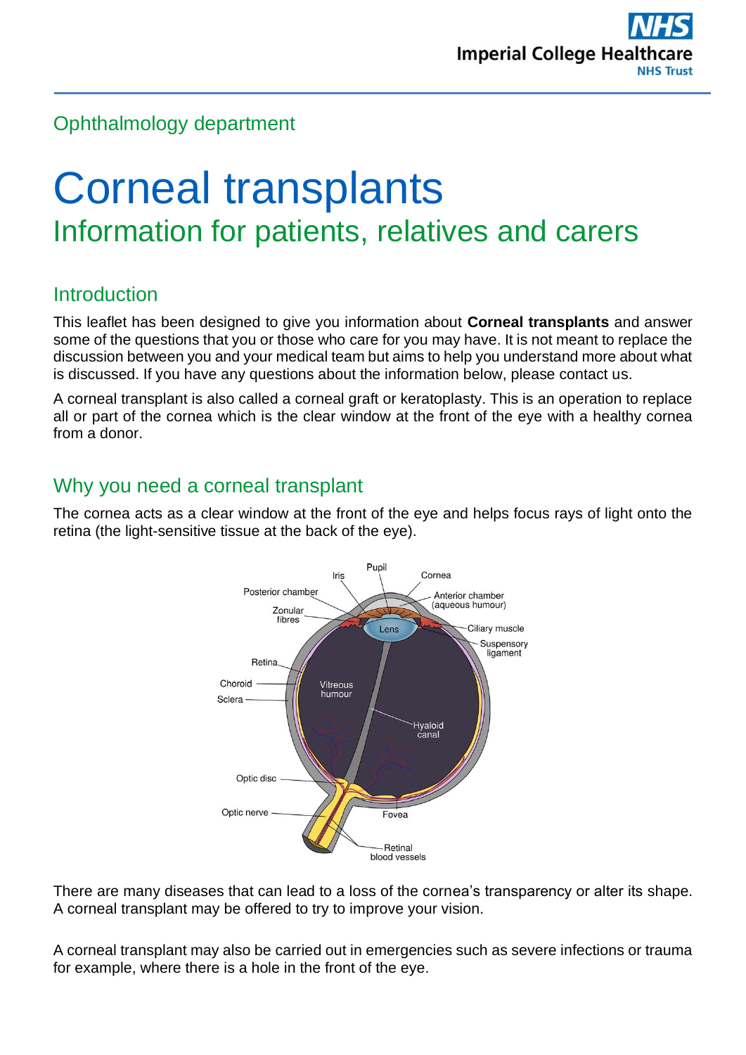# Ophthalmology department

# Corneal transplants Information for patients, relatives and carers

# **Introduction**

This leaflet has been designed to give you information about **Corneal transplants** and answer some of the questions that you or those who care for you may have. It is not meant to replace the discussion between you and your medical team but aims to help you understand more about what is discussed. If you have any questions about the information below, please contact us.

A corneal transplant is also called a corneal graft or keratoplasty. This is an operation to replace all or part of the cornea which is the clear window at the front of the eye with a healthy cornea from a donor.

# Why you need a corneal transplant

The cornea acts as a clear window at the front of the eye and helps focus rays of light onto the retina (the light-sensitive tissue at the back of the eye).



There are many diseases that can lead to a loss of the cornea's transparency or alter its shape. A corneal transplant may be offered to try to improve your vision.

A corneal transplant may also be carried out in emergencies such as severe infections or trauma for example, where there is a hole in the front of the eye.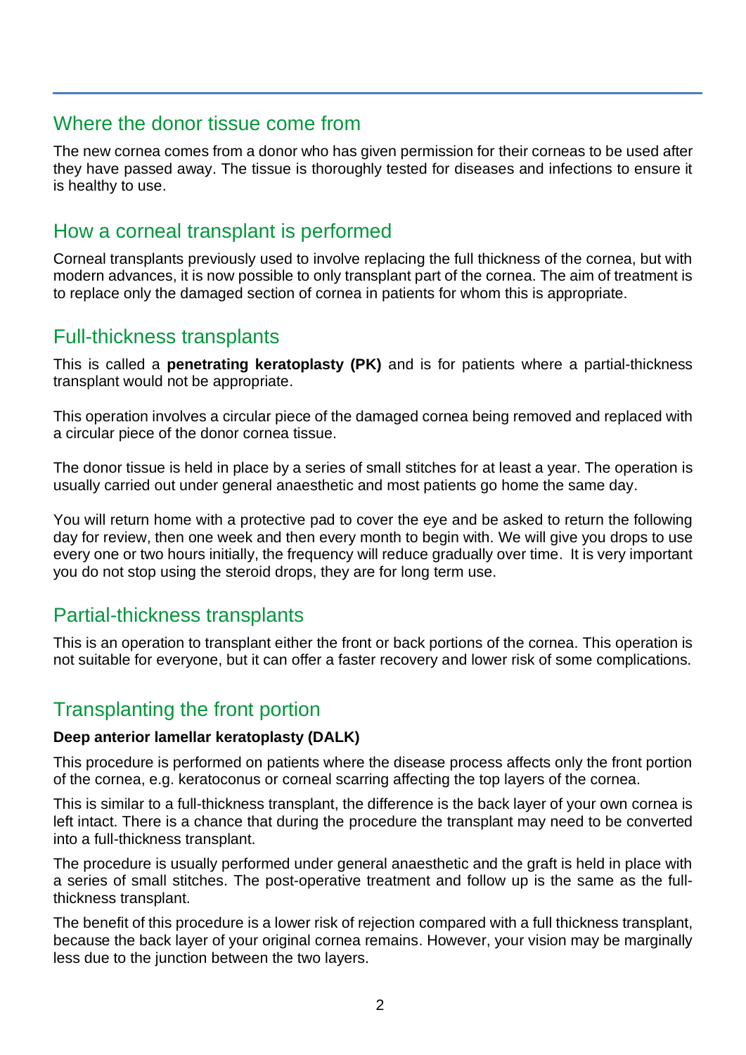## Where the donor tissue come from

The new cornea comes from a donor who has given permission for their corneas to be used after they have passed away. The tissue is thoroughly tested for diseases and infections to ensure it is healthy to use.

# How a corneal transplant is performed

Corneal transplants previously used to involve replacing the full thickness of the cornea, but with modern advances, it is now possible to only transplant part of the cornea. The aim of treatment is to replace only the damaged section of cornea in patients for whom this is appropriate.

## Full-thickness transplants

This is called a **penetrating keratoplasty (PK)** and is for patients where a partial-thickness transplant would not be appropriate.

This operation involves a circular piece of the damaged cornea being removed and replaced with a circular piece of the donor cornea tissue.

The donor tissue is held in place by a series of small stitches for at least a year. The operation is usually carried out under general anaesthetic and most patients go home the same day.

You will return home with a protective pad to cover the eye and be asked to return the following day for review, then one week and then every month to begin with. We will give you drops to use every one or two hours initially, the frequency will reduce gradually over time. It is very important you do not stop using the steroid drops, they are for long term use.

## Partial-thickness transplants

This is an operation to transplant either the front or back portions of the cornea. This operation is not suitable for everyone, but it can offer a faster recovery and lower risk of some complications.

# Transplanting the front portion

#### **Deep anterior lamellar keratoplasty (DALK)**

This procedure is performed on patients where the disease process affects only the front portion of the cornea, e.g. keratoconus or corneal scarring affecting the top layers of the cornea.

This is similar to a full-thickness transplant, the difference is the back layer of your own cornea is left intact. There is a chance that during the procedure the transplant may need to be converted into a full-thickness transplant.

The procedure is usually performed under general anaesthetic and the graft is held in place with a series of small stitches. The post-operative treatment and follow up is the same as the fullthickness transplant.

The benefit of this procedure is a lower risk of rejection compared with a full thickness transplant, because the back layer of your original cornea remains. However, your vision may be marginally less due to the junction between the two layers.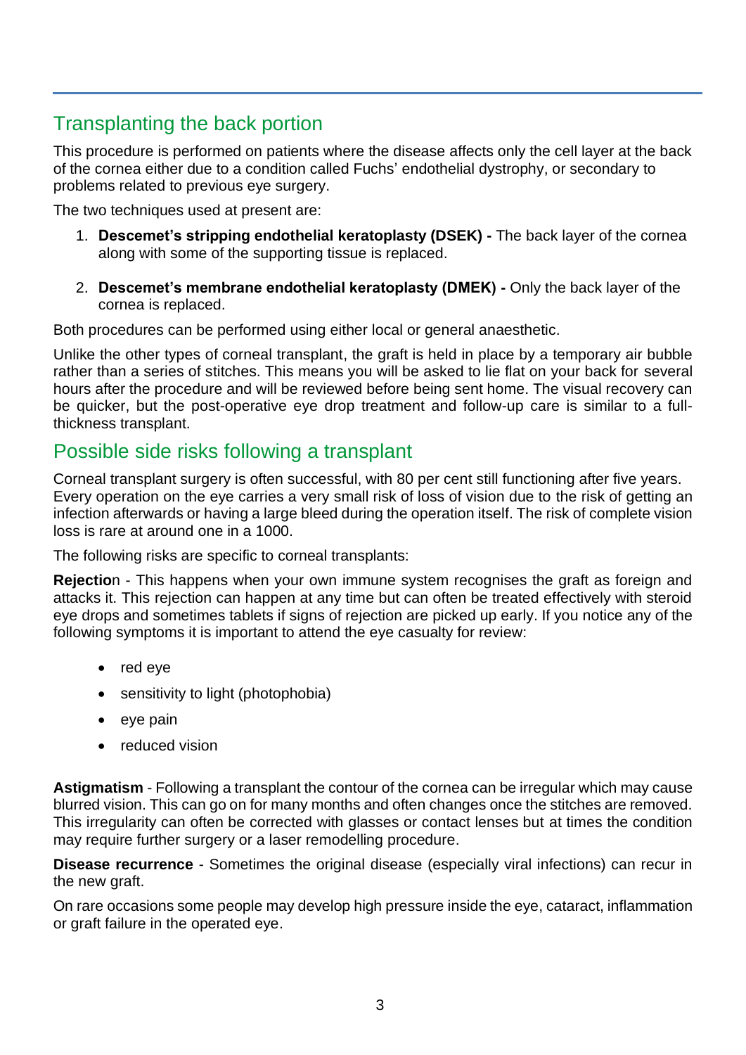# Transplanting the back portion

This procedure is performed on patients where the disease affects only the cell layer at the back of the cornea either due to a condition called Fuchs' endothelial dystrophy, or secondary to problems related to previous eye surgery.

The two techniques used at present are:

- 1. **Descemet's stripping endothelial keratoplasty (DSEK) -** The back layer of the cornea along with some of the supporting tissue is replaced.
- 2. **Descemet's membrane endothelial keratoplasty (DMEK) -** Only the back layer of the cornea is replaced.

Both procedures can be performed using either local or general anaesthetic.

Unlike the other types of corneal transplant, the graft is held in place by a temporary air bubble rather than a series of stitches. This means you will be asked to lie flat on your back for several hours after the procedure and will be reviewed before being sent home. The visual recovery can be quicker, but the post-operative eye drop treatment and follow-up care is similar to a fullthickness transplant.

# Possible side risks following a transplant

Corneal transplant surgery is often successful, with 80 per cent still functioning after five years. Every operation on the eye carries a very small risk of loss of vision due to the risk of getting an infection afterwards or having a large bleed during the operation itself. The risk of complete vision loss is rare at around one in a 1000.

The following risks are specific to corneal transplants:

**Rejectio**n - This happens when your own immune system recognises the graft as foreign and attacks it. This rejection can happen at any time but can often be treated effectively with steroid eye drops and sometimes tablets if signs of rejection are picked up early. If you notice any of the following symptoms it is important to attend the eye casualty for review:

- red eye
- sensitivity to light (photophobia)
- eve pain
- reduced vision

**Astigmatism** - Following a transplant the contour of the cornea can be irregular which may cause blurred vision. This can go on for many months and often changes once the stitches are removed. This irregularity can often be corrected with glasses or contact lenses but at times the condition may require further surgery or a laser remodelling procedure.

**Disease recurrence** - Sometimes the original disease (especially viral infections) can recur in the new graft.

On rare occasions some people may develop high pressure inside the eye, cataract, inflammation or graft failure in the operated eye.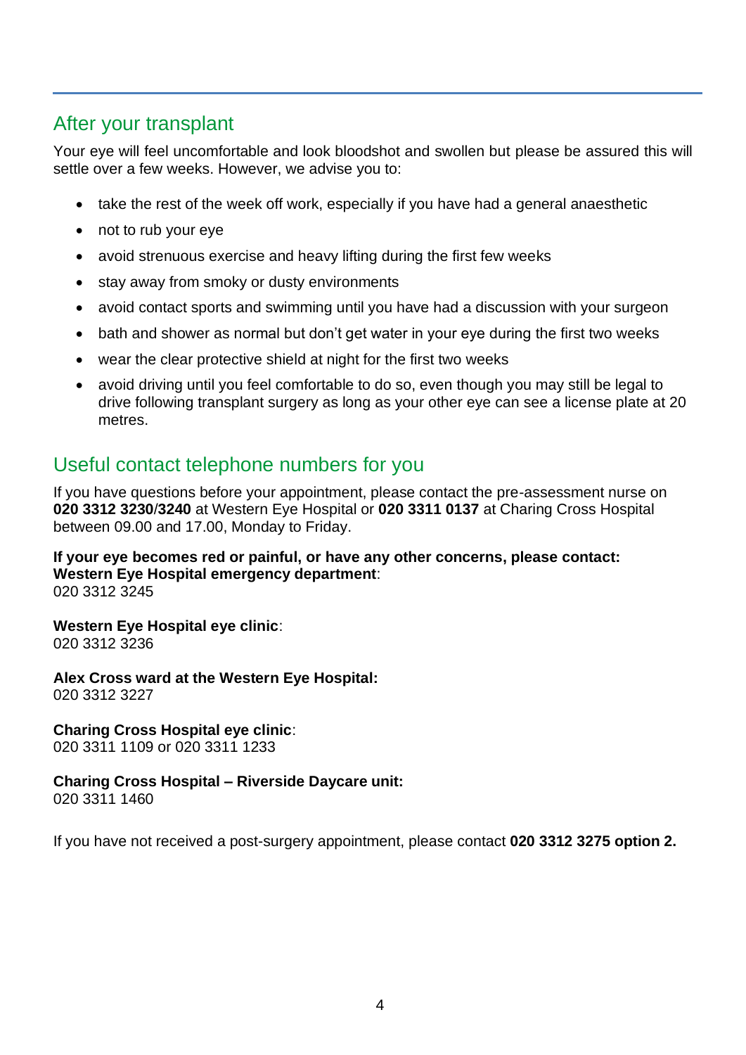# After your transplant

Your eye will feel uncomfortable and look bloodshot and swollen but please be assured this will settle over a few weeks. However, we advise you to:

- take the rest of the week off work, especially if you have had a general anaesthetic
- not to rub your eye
- avoid strenuous exercise and heavy lifting during the first few weeks
- stay away from smoky or dusty environments
- avoid contact sports and swimming until you have had a discussion with your surgeon
- bath and shower as normal but don't get water in your eye during the first two weeks
- wear the clear protective shield at night for the first two weeks
- avoid driving until you feel comfortable to do so, even though you may still be legal to drive following transplant surgery as long as your other eye can see a license plate at 20 metres.

# Useful contact telephone numbers for you

If you have questions before your appointment, please contact the pre-assessment nurse on **020 3312 3230**/**3240** at Western Eye Hospital or **020 3311 0137** at Charing Cross Hospital between 09.00 and 17.00, Monday to Friday.

**If your eye becomes red or painful, or have any other concerns, please contact: Western Eye Hospital emergency department**: 020 3312 3245

#### **Western Eye Hospital eye clinic**:

020 3312 3236

**Alex Cross ward at the Western Eye Hospital:** 020 3312 3227

#### **Charing Cross Hospital eye clinic**:

020 3311 1109 or 020 3311 1233

# **Charing Cross Hospital – Riverside Daycare unit:**

020 3311 1460

If you have not received a post-surgery appointment, please contact **020 3312 3275 option 2.**